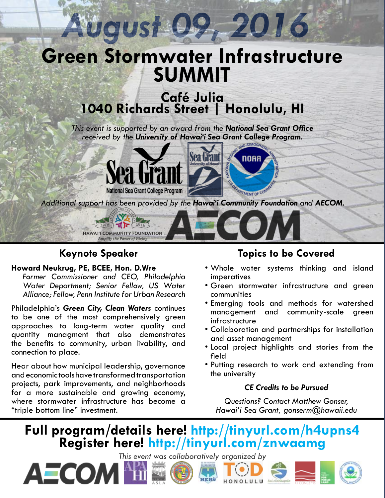

# **Keynote Speaker**

### **Howard Neukrug, PE, BCEE, Hon. D.Wre**

*Former Commissioner and CEO, Philadelphia Water Department; Senior Fellow, US Water Alliance; Fellow, Penn Institute for Urban Research*

Philadelphia's *Green City, Clean Waters* continues to be one of the most comprehensively green approaches to long-term water quality and quantity managment that also demonstrates the benefits to community, urban livability, and connection to place.

Hear about how municipal leadership, governance and economic tools have transformed transportation projects, park improvements, and neighborhoods for a more sustainable and growing economy, where stormwater infrastructure has become a "triple bottom line" investment.

AECOM <sup>N</sup>i

## **Topics to be Covered**

- Whole water systems thinking and island imperatives
- Green stormwater infrastructure and green communities
- Emerging tools and methods for watershed management and community-scale green infrastructure
- Collaboration and partnerships for installation and asset management
- Local project highlights and stories from the field
- Putting research to work and extending from the university

## *CE Credits to be Pursued*

*Questions? Contact Matthew Gonser, Hawai'i Sea Grant, gonserm@hawaii.edu*

# **Full program/details here! http://tinyurl.com/h4upns4 Register here! http://tinyurl.com/znwaamg**

*This event was collaboratively organized by*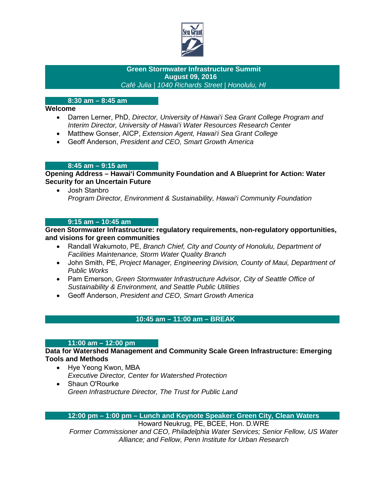

#### **Green Stormwater Infrastructure Summit August 09, 2016**   *Café Julia | 1040 Richards Street | Honolulu, HI*

#### **8:30 am – 8:45 am**

#### **Welcome**

- Darren Lerner, PhD, *Director, University of Hawai'i Sea Grant College Program and Interim Director, University of Hawai'i Water Resources Research Center*
- Matthew Gonser, AICP, *Extension Agent, Hawai'i Sea Grant College*
- Geoff Anderson, *President and CEO, Smart Growth America*

#### **8:45 am – 9:15 am**

**Opening Address – Hawai'i Community Foundation and A Blueprint for Action: Water Security for an Uncertain Future**

• Josh Stanbro *Program Director, Environment & Sustainability, Hawai'i Community Foundation*

#### **9:15 am – 10:45 am**

**Green Stormwater Infrastructure: regulatory requirements, non-regulatory opportunities, and visions for green communities**

- Randall Wakumoto, PE, *Branch Chief, City and County of Honolulu, Department of Facilities Maintenance, Storm Water Quality Branch*
- John Smith, PE, *Project Manager, Engineering Division, County of Maui, Department of Public Works*
- Pam Emerson, *Green Stormwater Infrastructure Advisor, City of Seattle Office of Sustainability & Environment, and Seattle Public Utilities*
- Geoff Anderson, *President and CEO, Smart Growth America*

#### **10:45 am – 11:00 am – BREAK**

#### **11:00 am – 12:00 pm**

**Data for Watershed Management and Community Scale Green Infrastructure: Emerging Tools and Methods**

- Hye Yeong Kwon, MBA *Executive Director, Center for Watershed Protection*
- Shaun O'Rourke *Green Infrastructure Director, The Trust for Public Land*

#### **12:00 pm – 1:00 pm – Lunch and Keynote Speaker: Green City, Clean Waters**

Howard Neukrug, PE, BCEE, Hon. D.WRE

*Former Commissioner and CEO, Philadelphia Water Services; Senior Fellow, US Water Alliance; and Fellow, Penn Institute for Urban Research*